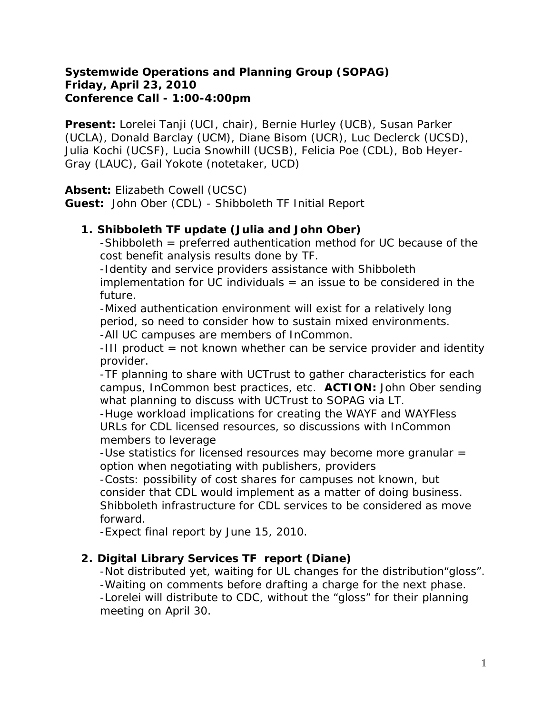#### **Systemwide Operations and Planning Group (SOPAG) Friday, April 23, 2010 Conference Call - 1:00-4:00pm**

**Present:** Lorelei Tanji (UCI, chair), Bernie Hurley (UCB), Susan Parker (UCLA), Donald Barclay (UCM), Diane Bisom (UCR), Luc Declerck (UCSD), Julia Kochi (UCSF), Lucia Snowhill (UCSB), Felicia Poe (CDL), Bob Heyer-Gray (LAUC), Gail Yokote (notetaker, UCD)

**Absent:** Elizabeth Cowell (UCSC)

**Guest:** John Ober (CDL) - Shibboleth TF Initial Report

## **1. Shibboleth TF update (Julia and John Ober)**

-Shibboleth = preferred authentication method for UC because of the cost benefit analysis results done by TF.

-Identity and service providers assistance with Shibboleth implementation for UC individuals  $=$  an issue to be considered in the future.

-Mixed authentication environment will exist for a relatively long period, so need to consider how to sustain mixed environments.

-All UC campuses are members of InCommon.

-III product = not known whether can be service provider and identity provider.

-TF planning to share with UCTrust to gather characteristics for each campus, InCommon best practices, etc. **ACTION:** *John Ober sending what planning to discuss with UCTrust to SOPAG via LT*.

-Huge workload implications for creating the WAYF and WAYFless URLs for CDL licensed resources, so discussions with InCommon members to leverage

-Use statistics for licensed resources may become more granular = option when negotiating with publishers, providers

-Costs: possibility of cost shares for campuses not known, but consider that CDL would implement as a matter of doing business. Shibboleth infrastructure for CDL services to be considered as move forward.

-Expect final report by June 15, 2010.

#### **2. Digital Library Services TF report (Diane)**

-Not distributed yet, waiting for UL changes for the distribution"gloss". -Waiting on comments before drafting a charge for the next phase. -Lorelei will distribute to CDC, without the "gloss" for their planning meeting on April 30.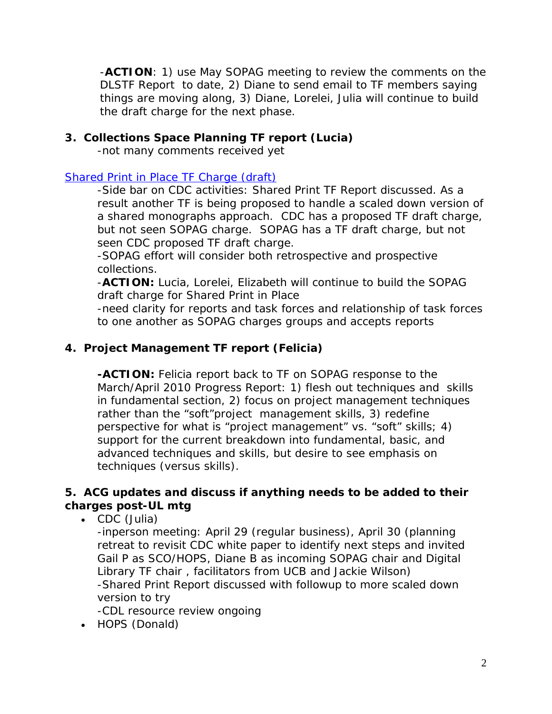-**ACTION***: 1) use May SOPAG meeting to review the comments on the DLSTF Report to date, 2) Diane to send email to TF members saying things are moving along, 3) Diane, Lorelei, Julia will continue to build the draft charge for the next phase.*

#### **3. Collections Space Planning TF report (Lucia)**

-not many comments received yet

#### [Shared Print in Place TF Charge \(draft\)](https://wiki.library.ucsf.edu/download/attachments/26149171/Draft+Shared+Print+in+Place+TF+charge.doc?version=1&modificationDate=1268172858000)

-Side bar on CDC activities: Shared Print TF Report discussed. As a result another TF is being proposed to handle a scaled down version of a shared monographs approach. CDC has a proposed TF draft charge, but not seen SOPAG charge. SOPAG has a TF draft charge, but not seen CDC proposed TF draft charge.

-SOPAG effort will consider both retrospective and prospective collections.

-**ACTION:** *Lucia, Lorelei, Elizabeth will continue to build the SOPAG draft charge for Shared Print in Place*

-need clarity for reports and task forces and relationship of task forces to one another as SOPAG charges groups and accepts reports

## **4. Project Management TF report (Felicia)**

**-ACTION:** *Felicia report back to TF on SOPAG response to the March/April 2010 Progress Report: 1) flesh out techniques and skills in fundamental section, 2) focus on project management techniques rather than the "soft"project management skills, 3) redefine perspective for what is "project management" vs. "soft" skills; 4) support for the current breakdown into fundamental, basic, and advanced techniques and skills, but desire to see emphasis on techniques (versus skills).*

## **5. ACG updates and discuss if anything needs to be added to their charges post-UL mtg**

• CDC (Julia)

-inperson meeting: April 29 (regular business), April 30 (planning retreat to revisit CDC white paper to identify next steps and invited Gail P as SCO/HOPS, Diane B as incoming SOPAG chair and Digital Library TF chair , facilitators from UCB and Jackie Wilson) -Shared Print Report discussed with followup to more scaled down version to try

-CDL resource review ongoing

• HOPS (Donald)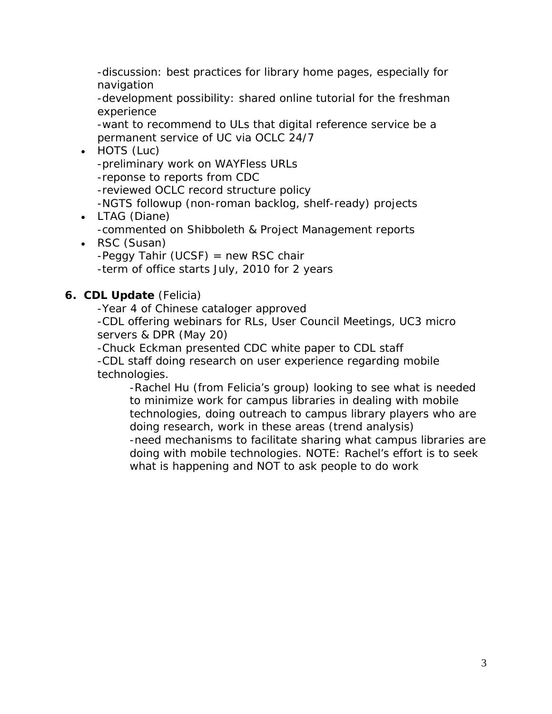-discussion: best practices for library home pages, especially for navigation

-development possibility: shared online tutorial for the freshman experience

-want to recommend to ULs that digital reference service be a permanent service of UC via OCLC 24/7

#### • HOTS (Luc)

-preliminary work on WAYFless URLs -reponse to reports from CDC -reviewed OCLC record structure policy -NGTS followup (non-roman backlog, shelf-ready) projects

- LTAG (Diane) -commented on Shibboleth & Project Management reports
- RSC (Susan)  $-Peggy$  Tahir (UCSF) = new RSC chair -term of office starts July, 2010 for 2 years

## **6. CDL Update** (Felicia)

-Year 4 of Chinese cataloger approved

-CDL offering webinars for RLs, User Council Meetings, UC3 micro servers & DPR (May 20)

-Chuck Eckman presented CDC white paper to CDL staff -CDL staff doing research on user experience regarding mobile technologies.

-Rachel Hu (from Felicia's group) looking to see what is needed to minimize work for campus libraries in dealing with mobile technologies, doing outreach to campus library players who are doing research, work in these areas (trend analysis) -need mechanisms to facilitate sharing what campus libraries are doing with mobile technologies. NOTE: Rachel's effort is to seek what is happening and NOT to ask people to do work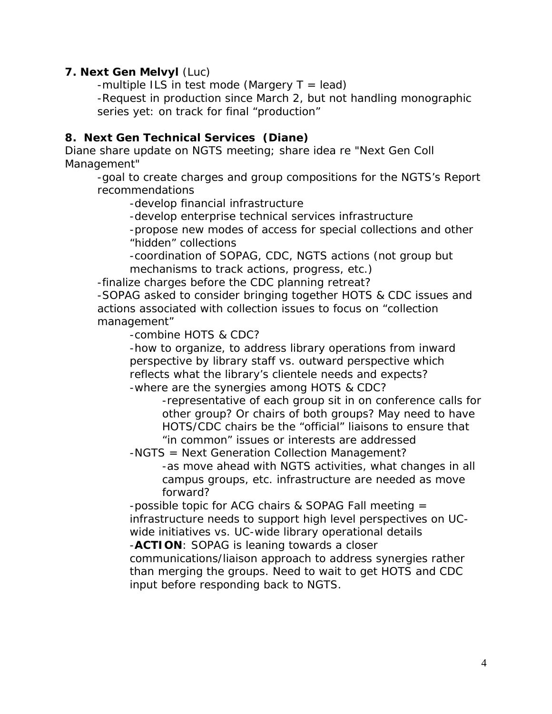#### **7. Next Gen Melvyl** (Luc)

-multiple ILS in test mode (Margery  $T = lead$ )

-Request in production since March 2, but not handling monographic series yet: on track for final "production"

#### **8. Next Gen Technical Services (Diane)**

Diane share update on NGTS meeting; share idea re "Next Gen Coll Management"

-goal to create charges and group compositions for the NGTS's Report recommendations

-develop financial infrastructure

-develop enterprise technical services infrastructure

-propose new modes of access for special collections and other "hidden" collections

-coordination of SOPAG, CDC, NGTS actions (not group but mechanisms to track actions, progress, etc.)

-finalize charges before the CDC planning retreat?

-SOPAG asked to consider bringing together HOTS & CDC issues and actions associated with collection issues to focus on "collection management"

-combine HOTS & CDC?

-how to organize, to address library operations from inward perspective by library staff vs. outward perspective which reflects what the library's clientele needs and expects? -where are the synergies among HOTS & CDC?

-representative of each group sit in on conference calls for other group? Or chairs of both groups? May need to have HOTS/CDC chairs be the "official" liaisons to ensure that "in common" issues or interests are addressed

-NGTS = Next Generation Collection Management?

-as move ahead with NGTS activities, what changes in all campus groups, etc. infrastructure are needed as move forward?

-possible topic for ACG chairs & SOPAG Fall meeting = infrastructure needs to support high level perspectives on UCwide initiatives vs. UC-wide library operational details

-**ACTION**: *SOPAG is leaning towards a closer* 

*communications/liaison approach to address synergies rather than merging the groups. Need to wait to get HOTS and CDC input before responding back to NGTS.*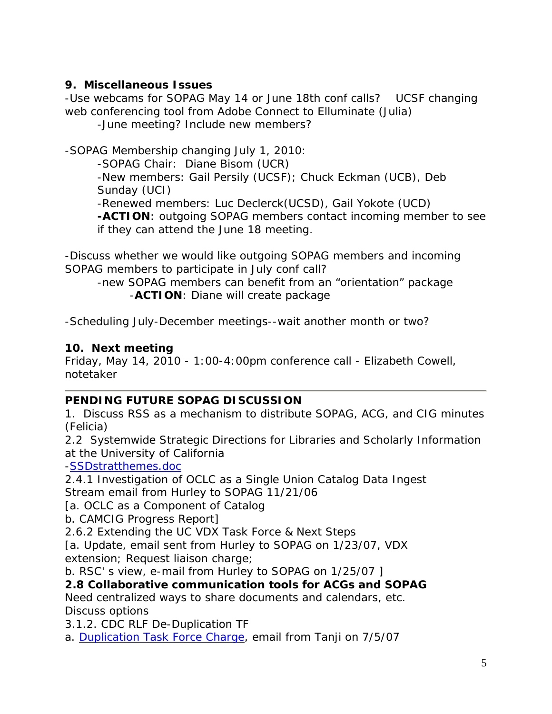## **9. Miscellaneous Issues**

-Use webcams for SOPAG May 14 or June 18th conf calls? UCSF changing web conferencing tool from Adobe Connect to Elluminate (Julia)

-June meeting? Include new members?

-SOPAG Membership changing July 1, 2010:

-SOPAG Chair: Diane Bisom (UCR)

-New members: Gail Persily (UCSF); Chuck Eckman (UCB), Deb Sunday (UCI)

-Renewed members: Luc Declerck(UCSD), Gail Yokote (UCD)

**-ACTION**: *outgoing SOPAG members contact incoming member to see if they can attend the June 18 meeting.*

-Discuss whether we would like outgoing SOPAG members and incoming SOPAG members to participate in July conf call?

-new SOPAG members can benefit from an "orientation" package -**ACTION**: *Diane will create package*

-Scheduling July-December meetings--wait another month or two?

## **10. Next meeting**

Friday, May 14, 2010 - 1:00-4:00pm conference call - Elizabeth Cowell, notetaker

## **PENDING FUTURE SOPAG DISCUSSION**

1. Discuss RSS as a mechanism to distribute SOPAG, ACG, and CIG minutes (Felicia)

2.2 Systemwide Strategic Directions for Libraries and Scholarly Information at the University of California

[-SSDstratthemes.doc](https://wiki.library.ucsf.edu/download/attachments/11569229/SSDstratthemes.doc?version=1&modificationDate=1205204600000)

2.4.1 Investigation of OCLC as a Single Union Catalog Data Ingest Stream email from Hurley to SOPAG 11/21/06

[a. OCLC as a Component of Catalog

b. CAMCIG Progress Report]

2.6.2 Extending the UC VDX Task Force & Next Steps

[a. Update, email sent from Hurley to SOPAG on 1/23/07, VDX extension; Request liaison charge;

b. RSC' s view, e-mail from Hurley to SOPAG on 1/25/07 ]

## **2.8 Collaborative communication tools for ACGs and SOPAG**

Need centralized ways to share documents and calendars, etc. Discuss options

3.1.2. CDC RLF De-Duplication TF

a. [Duplication Task Force Charge,](https://wiki.library.ucsf.edu/download/attachments/13926841/dedup2-charge-rev.doc?version=1&modificationDate=1210895709000) email from Tanji on 7/5/07